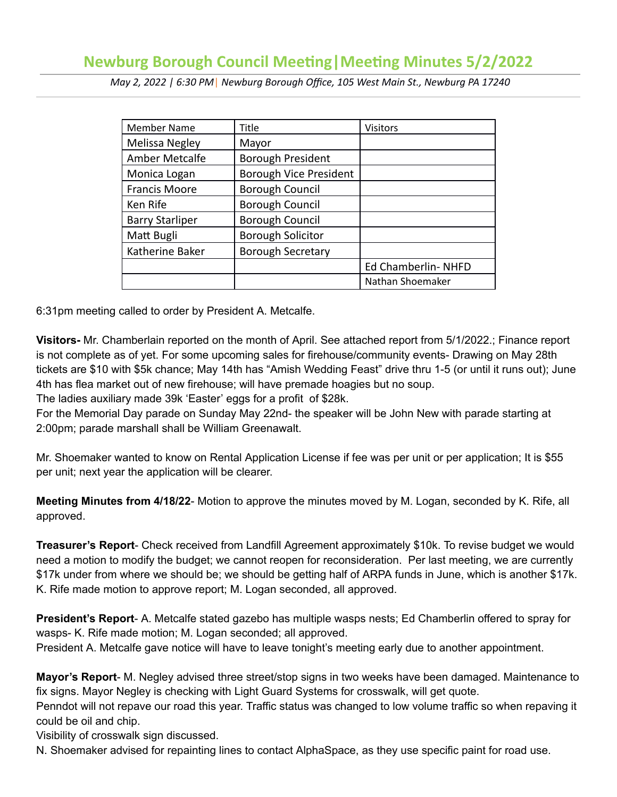# **Newburg Borough Council Meeting | Meeting Minutes 5/2/2022**

 *May 2, 2022 | 6:30 PM* | *Newburg Borough Office, 105 West Main St., Newburg PA 17240* 

| <b>Member Name</b>     | Title                    | <b>Visitors</b>    |
|------------------------|--------------------------|--------------------|
| Melissa Negley         | Mayor                    |                    |
| Amber Metcalfe         | <b>Borough President</b> |                    |
| Monica Logan           | Borough Vice President   |                    |
| <b>Francis Moore</b>   | <b>Borough Council</b>   |                    |
| Ken Rife               | <b>Borough Council</b>   |                    |
| <b>Barry Starliper</b> | <b>Borough Council</b>   |                    |
| Matt Bugli             | <b>Borough Solicitor</b> |                    |
| Katherine Baker        | <b>Borough Secretary</b> |                    |
|                        |                          | Ed Chamberlin-NHFD |
|                        |                          | Nathan Shoemaker   |

6:31pm meeting called to order by President A. Metcalfe.

 **Visitors-** Mr. Chamberlain reported on the month of April. See attached report from 5/1/2022.; Finance report is not complete as of yet. For some upcoming sales for firehouse/community events- Drawing on May 28th tickets are \$10 with \$5k chance; May 14th has "Amish Wedding Feast" drive thru 1-5 (or until it runs out); June 4th has flea market out of new firehouse; will have premade hoagies but no soup.

The ladies auxiliary made 39k 'Easter' eggs for a profit of \$28k.

 For the Memorial Day parade on Sunday May 22nd- the speaker will be John New with parade starting at 2:00pm; parade marshall shall be William Greenawalt.

 Mr. Shoemaker wanted to know on Rental Application License if fee was per unit or per application; It is \$55 per unit; next year the application will be clearer.

**Meeting Minutes from 4/18/22-** Motion to approve the minutes moved by M. Logan, seconded by K. Rife, all approved.

**Treasurer's Report-** Check received from Landfill Agreement approximately \$10k. To revise budget we would need a motion to modify the budget; we cannot reopen for reconsideration. Per last meeting, we are currently \$17k under from where we should be; we should be getting half of ARPA funds in June, which is another \$17k. K. Rife made motion to approve report; M. Logan seconded, all approved.

**President's Report-** A. Metcalfe stated gazebo has multiple wasps nests; Ed Chamberlin offered to spray for wasps- K. Rife made motion; M. Logan seconded; all approved.

President A. Metcalfe gave notice will have to leave tonight's meeting early due to another appointment.

**Mayor's Report-** M. Negley advised three street/stop signs in two weeks have been damaged. Maintenance to fix signs. Mayor Negley is checking with Light Guard Systems for crosswalk, will get quote.

 Penndot will not repave our road this year. Traffic status was changed to low volume traffic so when repaving it could be oil and chip.

Visibility of crosswalk sign discussed.

N. Shoemaker advised for repainting lines to contact AlphaSpace, as they use specific paint for road use.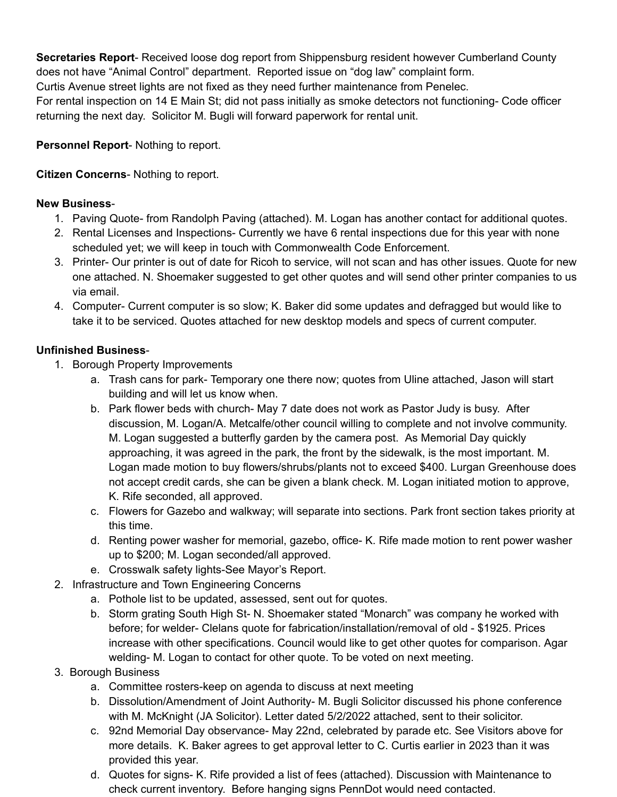**Secretaries Report-** Received loose dog report from Shippensburg resident however Cumberland County does not have "Animal Control" department. Reported issue on "dog law" complaint form. Curtis Avenue street lights are not fixed as they need further maintenance from Penelec. For rental inspection on 14 E Main St; did not pass initially as smoke detectors not functioning- Code officer returning the next day. Solicitor M. Bugli will forward paperwork for rental unit.

## **Personnel Report-** Nothing to report.

### **Citizen Concerns- Nothing to report.**

#### **New Business** -

- 1. Paving Quote- from Randolph Paving (attached). M. Logan has another contact for additional quotes.
- 2. Rental Licenses and Inspections- Currently we have 6 rental inspections due for this year with none scheduled yet; we will keep in touch with Commonwealth Code Enforcement.
- 3. Printer- Our printer is out of date for Ricoh to service, will not scan and has other issues. Quote for new one attached. N. Shoemaker suggested to get other quotes and will send other printer companies to us via email.
- 4. Computer- Current computer is so slow; K. Baker did some updates and defragged but would like to take it to be serviced. Quotes attached for new desktop models and specs of current computer.

#### **Unfinished Business** -

- 1. Borough Property Improvements
	- a. Trash cans for park- Temporary one there now; quotes from Uline attached, Jason will start building and will let us know when.
	- b. Park flower beds with church- May 7 date does not work as Pastor Judy is busy. After discussion, M. Logan/A. Metcalfe/other council willing to complete and not involve community. M. Logan suggested a butterfly garden by the camera post. As Memorial Day quickly approaching, it was agreed in the park, the front by the sidewalk, is the most important. M. Logan made motion to buy flowers/shrubs/plants not to exceed \$400. Lurgan Greenhouse does not accept credit cards, she can be given a blank check. M. Logan initiated motion to approve, K. Rife seconded, all approved.
	- c. Flowers for Gazebo and walkway; will separate into sections. Park front section takes priority at this time.
	- d. Renting power washer for memorial, gazebo, office- K. Rife made motion to rent power washer up to \$200; M. Logan seconded/all approved.
	- e. Crosswalk safety lights-See Mayor's Report.
- 2. Infrastructure and Town Engineering Concerns
	- a. Pothole list to be updated, assessed, sent out for quotes.
	- b. Storm grating South High St- N. Shoemaker stated "Monarch" was company he worked with before; for welder- Clelans quote for fabrication/installation/removal of old - \$1925. Prices increase with other specifications. Council would like to get other quotes for comparison. Agar welding- M. Logan to contact for other quote. To be voted on next meeting.
- 3. Borough Business
	- a. Committee rosters-keep on agenda to discuss at next meeting
	- b. Dissolution/Amendment of Joint Authority- M. Bugli Solicitor discussed his phone conference with M. McKnight (JA Solicitor). Letter dated 5/2/2022 attached, sent to their solicitor.
	- c. 92nd Memorial Day observance- May 22nd, celebrated by parade etc. See Visitors above for more details. K. Baker agrees to get approval letter to C. Curtis earlier in 2023 than it was provided this year.
	- d. Quotes for signs- K. Rife provided a list of fees (attached). Discussion with Maintenance to check current inventory. Before hanging signs PennDot would need contacted.